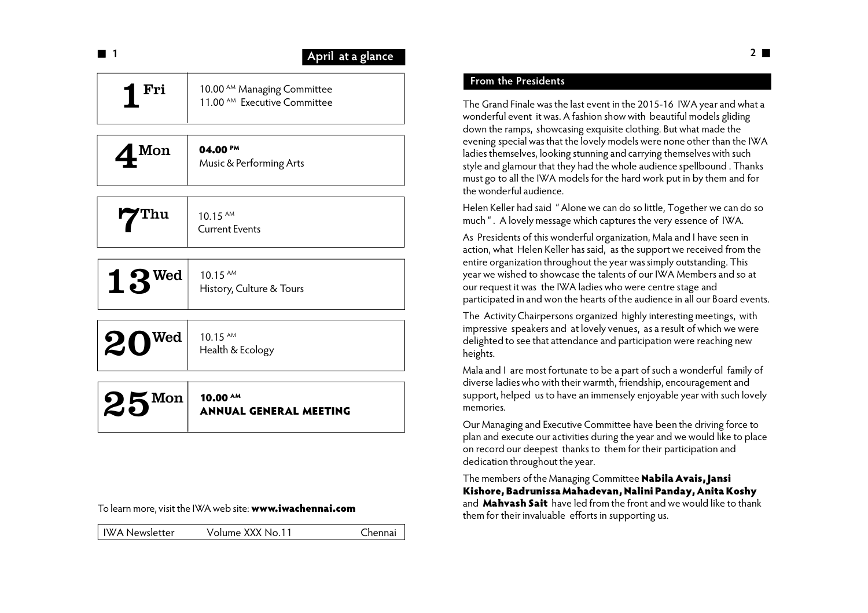| 1                           | April at a glance                                                                 |
|-----------------------------|-----------------------------------------------------------------------------------|
| Fri                         | 10.00 <sup>AM</sup> Managing Committee<br>11.00 <sup>AM</sup> Executive Committee |
| Mon                         | $04.00^{PM}$<br>Music & Performing Arts                                           |
| Thu                         | $10.15$ AM<br><b>Current Events</b>                                               |
| $13^{$ Wed                  | $10.15$ AM<br>History, Culture & Tours                                            |
| Wed<br>20                   | 10.15 AM<br>Health & Ecology                                                      |
| $\mathbf{\Sigma}$ Mon<br>とこ | 10.00 AM<br><b>ANNUAL GENERAL MEETING</b>                                         |
|                             |                                                                                   |

### To learn more, visit the IWA web site: **www.iwachennai.com**

| <b>IWA Newsletter</b> | Volume XXX No.11 | Chennai |
|-----------------------|------------------|---------|
|                       |                  |         |

### **From the Presidents**

The Grand Finale was the last event in the 2015-16 IWA year and what a wonderful event it was. A fashion show with beautiful models gliding down the ramps, showcasing exquisite clothing. But what made the evening special was that the lovely models were none other than the IWA ladies themselves, looking stunning and carrying themselves with such style and glamour that they had the whole audience spellbound . Thanks must go to all the IWA models for the hard work put in by them and for the wonderful audience.

Helen Keller had said " Alone we can do so little, Together we can do so much ". A lovely message which captures the very essence of IWA.

As Presidents of this wonderful organization, Mala and I have seen in action, what Helen Keller has said, as the support we received from the entire organization throughout the year was simply outstanding. This year we wished to showcase the talents of our IWA Members and so at our request it was the IWA ladies who were centre stage and participated in and won the hearts of the audience in all our Board events.

The Activity Chairpersons organized highly interesting meetings, with impressive speakers and at lovely venues, as a result of which we were delighted to see that attendance and participation were reaching new heights.

Mala and I are most fortunate to be a part of such a wonderful family of diverse ladies who with their warmth, friendship, encouragement and support, helped us to have an immensely enjoyable year with such lovely memories.

Our Managing and Executive Committee have been the driving force to plan and execute our activities during the year and we would like to place on record our deepest thanks to them for their participation and dedication throughout the year.

The members of the Managing Committee **Nabila Avais, Jansi Kishore, Badrunissa Mahadevan, Nalini Panday, Anita Koshy** and **Mahvash Sait** have led from the front and we would like to thank them for their invaluable efforts in supporting us.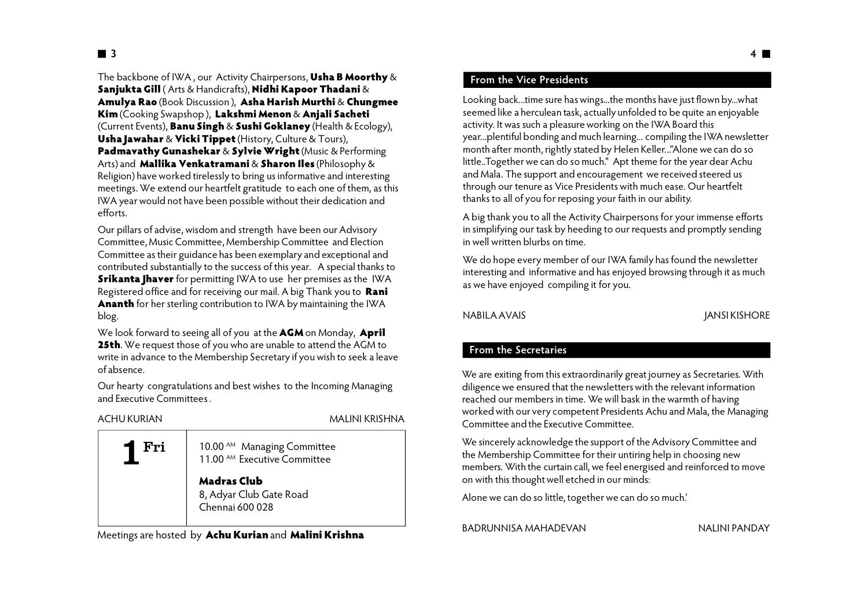The backbone of IWA , our Activity Chairpersons, **Usha B Moorthy** & **Sanjukta Gill** ( Arts & Handicrafts), **Nidhi Kapoor Thadani** & **Amulya Rao** (Book Discussion ), **Asha Harish Murthi** & **Chungmee Kim** (Cooking Swapshop ), **Lakshmi Menon** & **Anjali Sacheti** (Current Events), **Banu Singh** & **Sushi Goklaney** (Health & Ecology), **Usha Jawahar** & **Vicki Tippet** (History, Culture & Tours), **Padmavathy Gunashekar** & **Sylvie Wright** (Music & Performing Arts) and **Mallika Venkatramani** & **Sharon Iles** (Philosophy & Religion) have worked tirelessly to bring us informative and interesting meetings. We extend our heartfelt gratitude to each one of them, as this IWA year would not have been possible without their dedication and efforts.

Our pillars of advise, wisdom and strength have been our Advisory Committee, Music Committee, Membership Committee and Election Committee as their guidance has been exemplary and exceptional and contributed substantially to the success of this year. A special thanks to **Srikanta Jhaver** for permitting IWA to use her premises as the IWA Registered office and for receiving our mail. A big Thank you to **Rani Ananth** for her sterling contribution to IWA by maintaining the IWA blog.

We look forward to seeing all of you at the **AGM** on Monday, **April 25th**. We request those of you who are unable to attend the AGM to write in advance to the Membership Secretary if you wish to seek a leave of absence.

Our hearty congratulations and best wishes to the Incoming Managing and Executive Committees .

#### ACHU KURIAN MALINI KRISHNA

| Fri | 10.00 <sup>AM</sup> Managing Committee<br>11.00 <sup>AM</sup> Executive Committee |  |
|-----|-----------------------------------------------------------------------------------|--|
|     | <b>Madras Club</b><br>8, Adyar Club Gate Road<br>Chennai 600 028                  |  |

Meetings are hosted by **Achu Kurian** and **Malini Krishna**

### **From the Vice Presidents**

Looking back...time sure has wings...the months have just flown by...what seemed like a herculean task, actually unfolded to be quite an enjoyable activity. It was such a pleasure working on the IWA Board this year...plentiful bonding and much learning... compiling the IWA newsletter month after month, rightly stated by Helen Keller..."Alone we can do so little..Together we can do so much." Apt theme for the year dear Achu and Mala. The support and encouragement we received steered us through our tenure as Vice Presidents with much ease. Our heartfelt thanks to all of you for reposing your faith in our ability.

A big thank you to all the Activity Chairpersons for your immense efforts in simplifying our task by heeding to our requests and promptly sending in well written blurbs on time.

We do hope every member of our IWA family has found the newsletter interesting and informative and has enjoyed browsing through it as much as we have enjoyed compiling it for you.

NABILA AVAIS GERMANIS AND THE SERVICE OF A SERVICE OF A SERVICE OF A SERVICE OF A SERVICE OF A SERVICE OF A SE

### **From the Secretaries**

We are exiting from this extraordinarily great journey as Secretaries. With diligence we ensured that the newsletters with the relevant information reached our members in time. We will bask in the warmth of having worked with our very competent Presidents Achu and Mala, the Managing Committee and the Executive Committee.

We sincerely acknowledge the support of the Advisory Committee and the Membership Committee for their untiring help in choosing new members. With the curtain call, we feel energised and reinforced to move on with this thought well etched in our minds:

Alone we can do so little, together we can do so much.'

BADRUNNISA MAHADEVAN NALINI PANDAY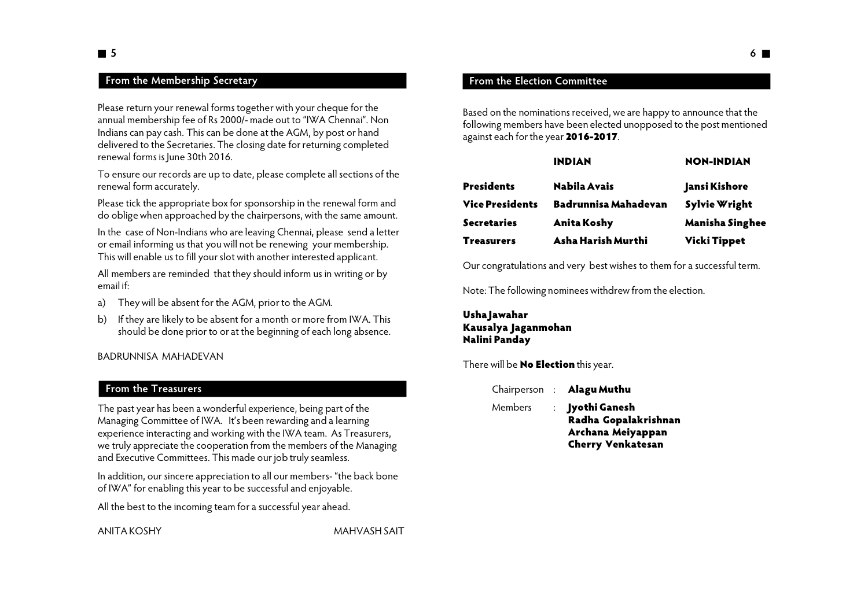# **5**

### **From the Membership Secretary**

Please return your renewal forms together with your cheque for the annual membership fee of Rs 2000/- made out to "IWA Chennai". Non Indians can pay cash. This can be done at the AGM, by post or hand delivered to the Secretaries. The closing date for returning completed renewal forms is June 30th 2016.

To ensure our records are up to date, please complete all sections of the renewal form accurately.

Please tick the appropriate box for sponsorship in the renewal form and do oblige when approached by the chairpersons, with the same amount.

In the case of Non-Indians who are leaving Chennai, please send a letter or email informing us that you will not be renewing your membership. This will enable us to fill your slot with another interested applicant.

All members are reminded that they should inform us in writing or by email if:

- a) They will be absent for the AGM, prior to the AGM.
- b) If they are likely to be absent for a month or more from IWA. This should be done prior to or at the beginning of each long absence.

BADRUNNISA MAHADEVAN

### **From the Treasurers**

The past year has been a wonderful experience, being part of the Managing Committee of IWA. It's been rewarding and a learning experience interacting and working with the IWA team. As Treasurers, we truly appreciate the cooperation from the members of the Managing and Executive Committees. This made our job truly seamless.

In addition, our sincere appreciation to all our members- "the back bone of IWA" for enabling this year to be successful and enjoyable.

All the best to the incoming team for a successful year ahead.

ANITA KOSHY MAHVASH SAIT

Based on the nominations received, we are happy to announce that the following members have been elected unopposed to the post mentioned against each for the year **2016-2017**.

|                 | <b>INDIAN</b>        | <b>NON-INDIAN</b>      |  |
|-----------------|----------------------|------------------------|--|
| Presidents      | Nabila Avais         | Jansi Kishore          |  |
| Vice Presidents | Badrunnisa Mahadevan | <b>Sylvie Wright</b>   |  |
| Secretaries     | <b>Anita Koshy</b>   | <b>Manisha Singhee</b> |  |
| Treasurers      | Asha Harish Murthi   | <b>Vicki Tippet</b>    |  |

Our congratulations and very best wishes to them for a successful term.

Note: The following nominees withdrew from the election.

### **Usha Jawahar Kausalya Jaganmohan Nalini Panday**

There will be **No Election** this year.

|         | Chairperson : <b>Alagu Muthu</b>                                                         |
|---------|------------------------------------------------------------------------------------------|
| Members | : Jyothi Ganesh<br>Radha Gopalakrishnan<br>Archana Meiyappan<br><b>Cherry Venkatesan</b> |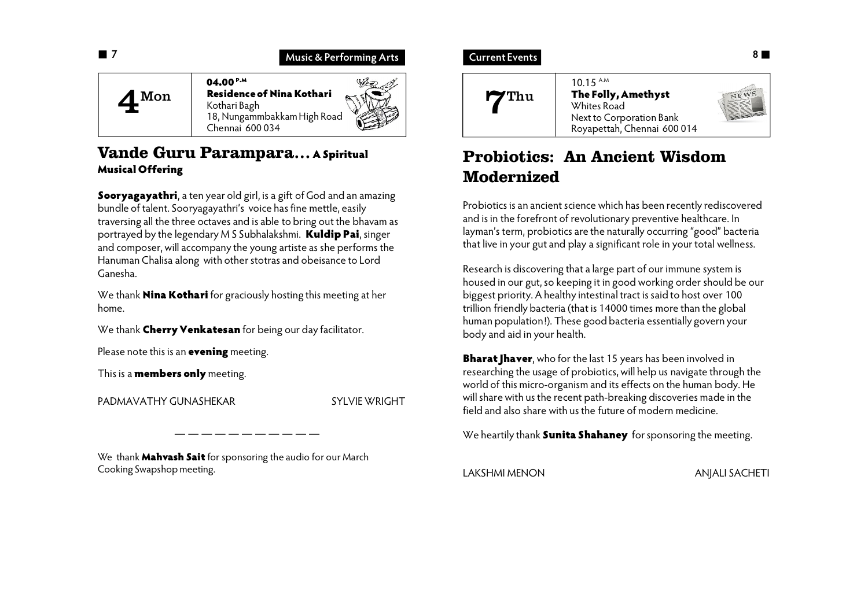

## **Vande Guru Parampara…A Spiritual Musical Offering**

**Sooryagayathri**, a ten year old girl, is a gift of God and an amazing bundle of talent. Sooryagayathri's voice has fine mettle, easily traversing all the three octaves and is able to bring out the bhavam as portrayed by the legendary M S Subhalakshmi. **Kuldip Pai**, singer and composer, will accompany the young artiste as she performs the Hanuman Chalisa along with other stotras and obeisance to Lord Ganesha.

We thank **Nina Kothari** for graciously hosting this meeting at her home.

We thank **Cherry Venkatesan** for being our day facilitator.

Please note this is an **evening** meeting.

This is a **members only** meeting.

PADMAVATHY GUNASHEKAR SYLVIE WRIGHT

We thank **Mahvash Sait** for sponsoring the audio for our March Cooking Swapshop meeting.

### **Current Events**



# **Probiotics: An Ancient Wisdom Modernized**

Probiotics is an ancient science which has been recently rediscovered and is in the forefront of revolutionary preventive healthcare. In layman's term, probiotics are the naturally occurring "good" bacteria that live in your gut and play a significant role in your total wellness.

Research is discovering that a large part of our immune system is housed in our gut, so keeping it in good working order should be our biggest priority. A healthy intestinal tract is said to host over 100 trillion friendly bacteria (that is 14000 times more than the global human population!). These good bacteria essentially govern your body and aid in your health.

**Bharat Jhaver**, who for the last 15 years has been involved in researching the usage of probiotics, will help us navigate through the world of this micro-organism and its effects on the human body. He will share with us the recent path-breaking discoveries made in the field and also share with us the future of modern medicine.

We heartily thank **Sunita Shahaney** for sponsoring the meeting.

LAKSHMI MENON ANJALI SACHETI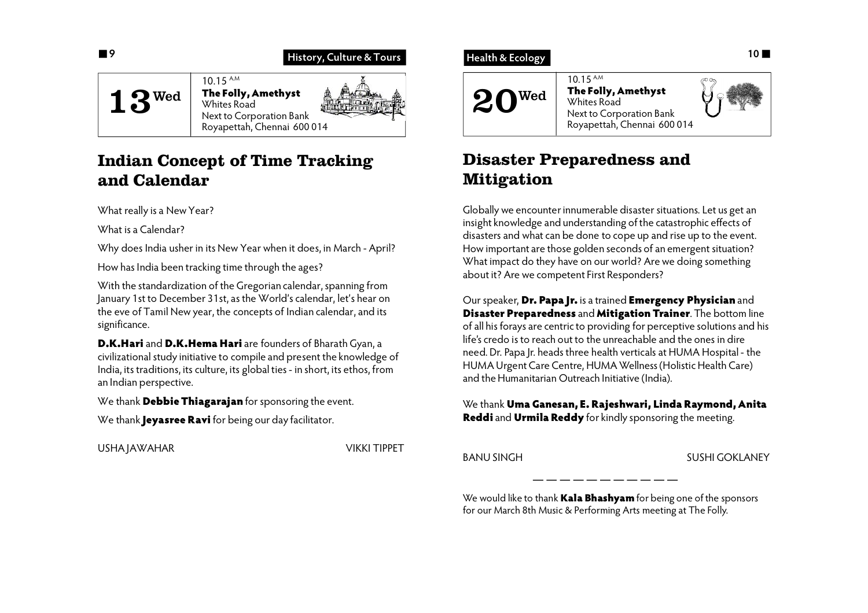

# **Indian Concept of Time Tracking and Calendar**

What really is a New Year?

What is a Calendar?

Why does India usher in its New Year when it does, in March - April?

How has India been tracking time through the ages?

With the standardization of the Gregorian calendar, spanning from January 1st to December 31st, as the World's calendar, let's hear on the eve of Tamil New year, the concepts of Indian calendar, and its significance.

**D.K.Hari** and **D.K.Hema Hari** are founders of Bharath Gyan, a civilizational study initiative to compile and present the knowledge of India, its traditions, its culture, its global ties - in short, its ethos, from an Indian perspective.

We thank **Debbie Thiagarajan** for sponsoring the event.

We thank **Jeyasree Ravi** for being our day facilitator.

USHA JAWAHAR VIKKI TIPPET

### **Health & Ecology**



# **Disaster Preparedness and Mitigation**

Globally we encounter innumerable disaster situations. Let us get an insight knowledge and understanding of the catastrophic effects of disasters and what can be done to cope up and rise up to the event. How important are those golden seconds of an emergent situation? What impact do they have on our world? Are we doing something about it? Are we competent First Responders?

Our speaker, **Dr. Papa Jr.** is a trained **Emergency Physician** and **Disaster Preparedness** and **Mitigation Trainer**. The bottom line of all his forays are centric to providing for perceptive solutions and his life's credo is to reach out to the unreachable and the ones in dire need. Dr. Papa Jr. heads three health verticals at HUMA Hospital - the HUMA Urgent Care Centre, HUMA Wellness (Holistic Health Care) and the Humanitarian Outreach Initiative (India).

We thank **Uma Ganesan, E. Rajeshwari, Linda Raymond, Anita Reddi** and **Urmila Reddy** for kindly sponsoring the meeting.

BANU SINGH SUSHI GOKLANEY

We would like to thank **Kala Bhashyam** for being one of the sponsors for our March 8th Music & Performing Arts meeting at The Folly.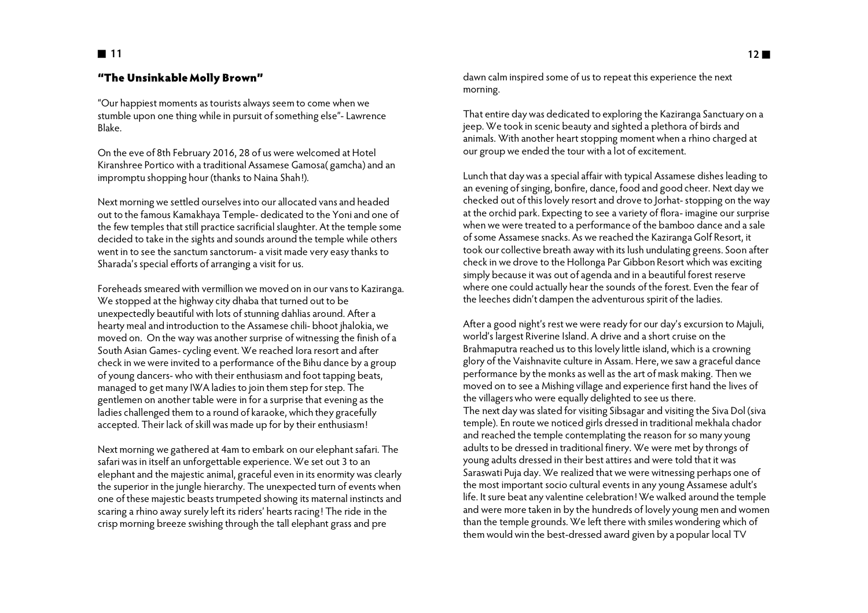### **"The Unsinkable Molly Brown"**

"Our happiest moments as tourists always seem to come when we stumble upon one thing while in pursuit of something else"- Lawrence Blake.

On the eve of 8th February 2016, 28 of us were welcomed at Hotel Kiranshree Portico with a traditional Assamese Gamosa( gamcha) and an impromptu shopping hour (thanks to Naina Shah!).

Next morning we settled ourselves into our allocated vans and headed out to the famous Kamakhaya Temple- dedicated to the Yoni and one of the few temples that still practice sacrificial slaughter. At the temple some decided to take in the sights and sounds around the temple while others went in to see the sanctum sanctorum- a visit made very easy thanks to Sharada's special efforts of arranging a visit for us.

Foreheads smeared with vermillion we moved on in our vans to Kaziranga. We stopped at the highway city dhaba that turned out to be unexpectedly beautiful with lots of stunning dahlias around. After a hearty meal and introduction to the Assamese chili- bhoot jhalokia, we moved on. On the way was another surprise of witnessing the finish of a South Asian Games- cycling event. We reached Iora resort and after check in we were invited to a performance of the Bihu dance by a group of young dancers- who with their enthusiasm and foot tapping beats, managed to get many IWA ladies to join them step for step. The gentlemen on another table were in for a surprise that evening as the ladies challenged them to a round of karaoke, which they gracefully accepted. Their lack of skill was made up for by their enthusiasm!

Next morning we gathered at 4am to embark on our elephant safari. The safari was in itself an unforgettable experience. We set out 3 to an elephant and the majestic animal, graceful even in its enormity was clearly the superior in the jungle hierarchy. The unexpected turn of events when one of these majestic beasts trumpeted showing its maternal instincts and scaring a rhino away surely left its riders' hearts racing! The ride in the crisp morning breeze swishing through the tall elephant grass and pre

dawn calm inspired some of us to repeat this experience the next morning.

That entire day was dedicated to exploring the Kaziranga Sanctuary on a jeep. We took in scenic beauty and sighted a plethora of birds and animals. With another heart stopping moment when a rhino charged at our group we ended the tour with a lot of excitement.

Lunch that day was a special affair with typical Assamese dishes leading to an evening of singing, bonfire, dance, food and good cheer. Next day we checked out of this lovely resort and drove to Jorhat- stopping on the way at the orchid park. Expecting to see a variety of flora- imagine our surprise when we were treated to a performance of the bamboo dance and a sale of some Assamese snacks. As we reached the Kaziranga Golf Resort, it took our collective breath away with its lush undulating greens. Soon after check in we drove to the Hollonga Par Gibbon Resort which was exciting simply because it was out of agenda and in a beautiful forest reserve where one could actually hear the sounds of the forest. Even the fear of the leeches didn't dampen the adventurous spirit of the ladies.

After a good night's rest we were ready for our day's excursion to Majuli, world's largest Riverine Island. A drive and a short cruise on the Brahmaputra reached us to this lovely little island, which is a crowning glory of the Vaishnavite culture in Assam. Here, we saw a graceful dance performance by the monks as well as the art of mask making. Then we moved on to see a Mishing village and experience first hand the lives of the villagers who were equally delighted to see us there. The next day was slated for visiting Sibsagar and visiting the Siva Dol (siva temple). En route we noticed girls dressed in traditional mekhala chador and reached the temple contemplating the reason for so many young adults to be dressed in traditional finery. We were met by throngs of young adults dressed in their best attires and were told that it was Saraswati Puja day. We realized that we were witnessing perhaps one of the most important socio cultural events in any young Assamese adult's life. It sure beat any valentine celebration! We walked around the temple and were more taken in by the hundreds of lovely young men and women than the temple grounds. We left there with smiles wondering which of them would win the best-dressed award given by a popular local TV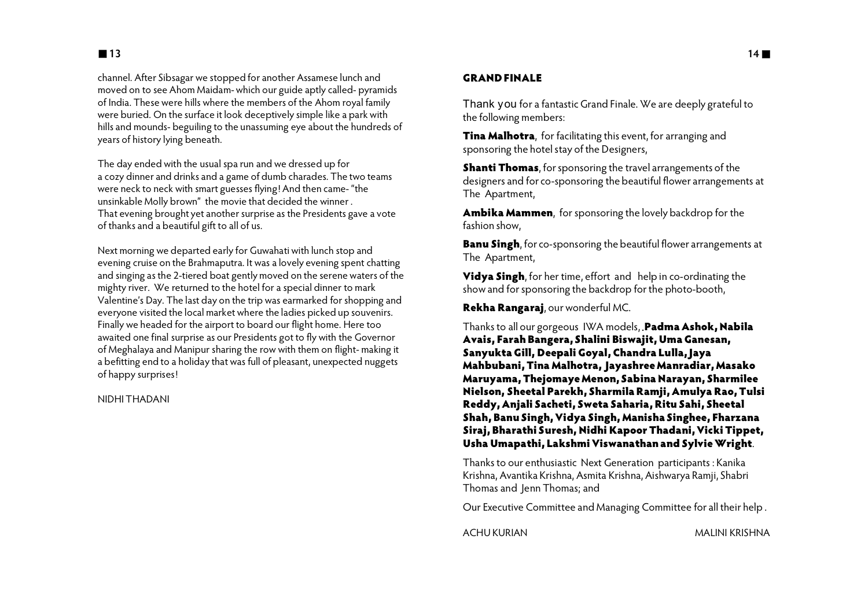channel. After Sibsagar we stopped for another Assamese lunch and moved on to see Ahom Maidam- which our guide aptly called- pyramids of India. These were hills where the members of the Ahom royal family were buried. On the surface it look deceptively simple like a park with hills and mounds- beguiling to the unassuming eye about the hundreds of years of history lying beneath.

The day ended with the usual spa run and we dressed up for a cozy dinner and drinks and a game of dumb charades. The two teams were neck to neck with smart guesses flying! And then came- "the unsinkable Molly brown" the movie that decided the winner . That evening brought yet another surprise as the Presidents gave a vote of thanks and a beautiful gift to all of us.

Next morning we departed early for Guwahati with lunch stop and evening cruise on the Brahmaputra. It was a lovely evening spent chatting and singing as the 2-tiered boat gently moved on the serene waters of the mighty river. We returned to the hotel for a special dinner to mark Valentine's Day. The last day on the trip was earmarked for shopping and everyone visited the local market where the ladies picked up souvenirs. Finally we headed for the airport to board our flight home. Here too awaited one final surprise as our Presidents got to fly with the Governor of Meghalaya and Manipur sharing the row with them on flight- making it a befitting end to a holiday that was full of pleasant, unexpected nuggets of happy surprises!

#### NIDHI THADANI

#### **GRAND FINALE**

Thank you for a fantastic Grand Finale. We are deeply grateful to the following members:

**Tina Malhotra**, for facilitating this event, for arranging and sponsoring the hotel stay of the Designers,

**Shanti Thomas**, for sponsoring the travel arrangements of the designers and for co-sponsoring the beautiful flower arrangements at The Apartment,

**Ambika Mammen**, for sponsoring the lovely backdrop for the fashion show,

**Banu Singh**, for co-sponsoring the beautiful flower arrangements at The Apartment,

**Vidya Singh**, for her time, effort and help in co-ordinating the show and for sponsoring the backdrop for the photo-booth,

**Rekha Rangaraj**, our wonderful MC.

Thanks to all our gorgeous IWA models, **Padma Ashok, Nabila Avais, Farah Bangera, Shalini Biswajit, Uma Ganesan, Sanyukta Gill, Deepali Goyal, Chandra Lulla, Jaya Mahbubani, Tina Malhotra, Jayashree Manradiar, Masako Maruyama, Thejomaye Menon, Sabina Narayan, Sharmilee Nielson, Sheetal Parekh, Sharmila Ramji, Amulya Rao, Tulsi Reddy, Anjali Sacheti, Sweta Saharia, Ritu Sahi, Sheetal Shah, Banu Singh, Vidya Singh, Manisha Singhee, Fharzana Siraj, Bharathi Suresh, Nidhi Kapoor Thadani, Vicki Tippet, Usha Umapathi, Lakshmi Viswanathan and Sylvie Wright**.

Thanks to our enthusiastic Next Generation participants : Kanika Krishna, Avantika Krishna, Asmita Krishna, Aishwarya Ramji, Shabri Thomas and Jenn Thomas; and

Our Executive Committee and Managing Committee for all their help .

ACHU KURIAN MALINI KRISHNA